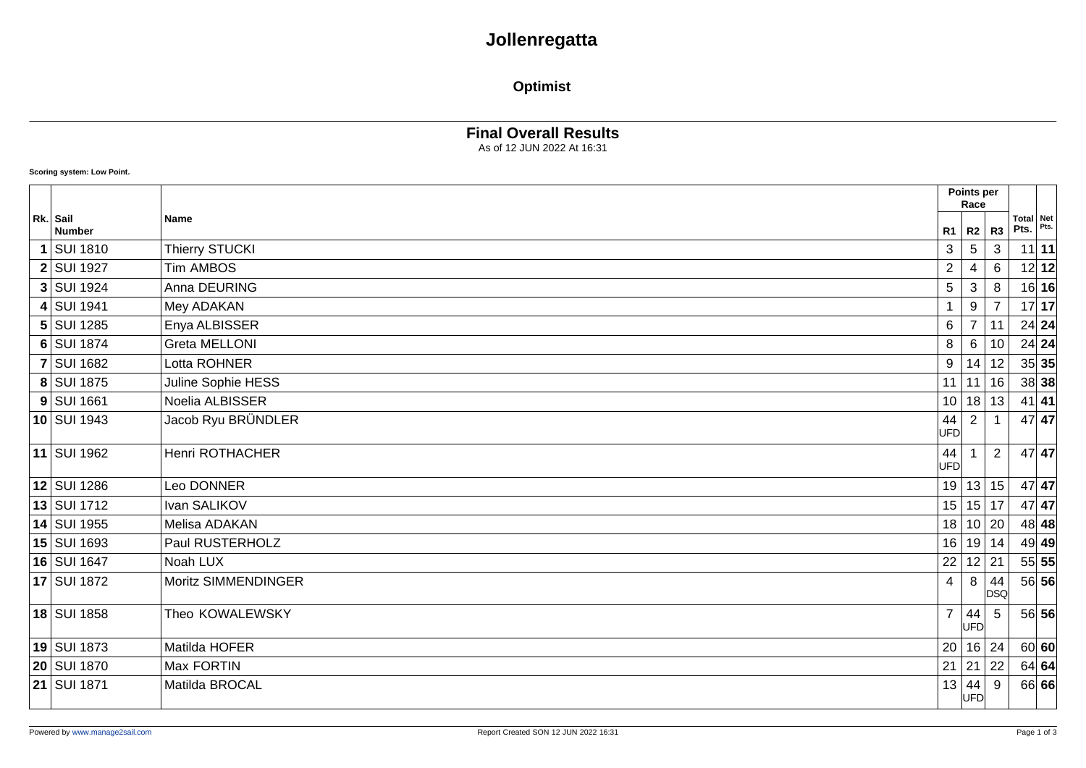# **Jollenregatta**

### **Optimist**

### **Final Overall Results**

As of 12 JUN 2022 At 16:31

#### **Scoring system: Low Point.**

|                           |                      |                  | Points per<br>Race                               |                  |                          |         |
|---------------------------|----------------------|------------------|--------------------------------------------------|------------------|--------------------------|---------|
| Rk. Sail<br><b>Number</b> | <b>Name</b>          | $R1$ $R2$        |                                                  | R <sub>3</sub>   | <b>Total Net</b><br>Pts. | Pts.    |
| <b>SUI 1810</b>           | Thierry STUCKI       | 3                | 5                                                | 3                |                          | $11$ 11 |
| <b>2 SUI 1927</b>         | <b>Tim AMBOS</b>     | $\overline{c}$   | 4                                                | 6                |                          | $12$ 12 |
| 3 SUI 1924                | Anna DEURING         | 5                | 3                                                | 8                |                          | $16$ 16 |
| 4 SUI 1941                | Mey ADAKAN           |                  | 9                                                |                  |                          | 17 17   |
| 5 SUI 1285                | Enya ALBISSER        | 6                | $\overline{7}$                                   | 11               |                          | $24$ 24 |
| 6 SUI 1874                | <b>Greta MELLONI</b> | 8                | 6                                                | 10               |                          | $24$ 24 |
| <b>7 SUI 1682</b>         | Lotta ROHNER         | 9                | 14                                               | 12               |                          | 35 35   |
| 8 SUI 1875                | Juline Sophie HESS   | 11               | 11                                               | 16               |                          | $38$ 38 |
| $9$ SUI 1661              | Noelia ALBISSER      |                  | 10 18 13                                         |                  |                          | $41$ 41 |
| 10 SUI 1943               | Jacob Ryu BRÜNDLER   | 44<br><b>UFD</b> | $\overline{2}$                                   |                  |                          | 47 47   |
| 11 SUI 1962               | Henri ROTHACHER      | 44<br><b>UFD</b> |                                                  | 2                |                          | $47$ 47 |
| 12 SUI 1286               | Leo DONNER           |                  | 19 13 15                                         |                  |                          | $47$ 47 |
| $13$ SUI 1712             | Ivan SALIKOV         |                  | 15 15 17                                         |                  |                          | $47$ 47 |
| 14 SUI 1955               | Melisa ADAKAN        |                  | 18 10                                            | 20               |                          | $48$ 48 |
| 15 SUI 1693               | Paul RUSTERHOLZ      |                  | 16 19                                            | 14               |                          | $49$ 49 |
| 16 SUI 1647               | Noah LUX             | 22               | 12 21                                            |                  |                          | 55 55   |
| 17 SUI 1872               | Moritz SIMMENDINGER  | 4                | 8                                                | 44<br><b>DSQ</b> |                          | 56 56   |
| 18 SUI 1858               | Theo KOWALEWSKY      | $\overline{7}$   | $\begin{vmatrix} 44 \\ \text{UFD} \end{vmatrix}$ | 5                |                          | 56 56   |
| 19 SUI 1873               | Matilda HOFER        | 20               | 16 24                                            |                  |                          | 60 60   |
| 20 SUI 1870               | Max FORTIN           | $21 \mid 21$     |                                                  | 22               |                          | 64 64   |
| 21 SUI 1871               | Matilda BROCAL       | 13               | 44<br>UFD                                        | 9                |                          | 66 66   |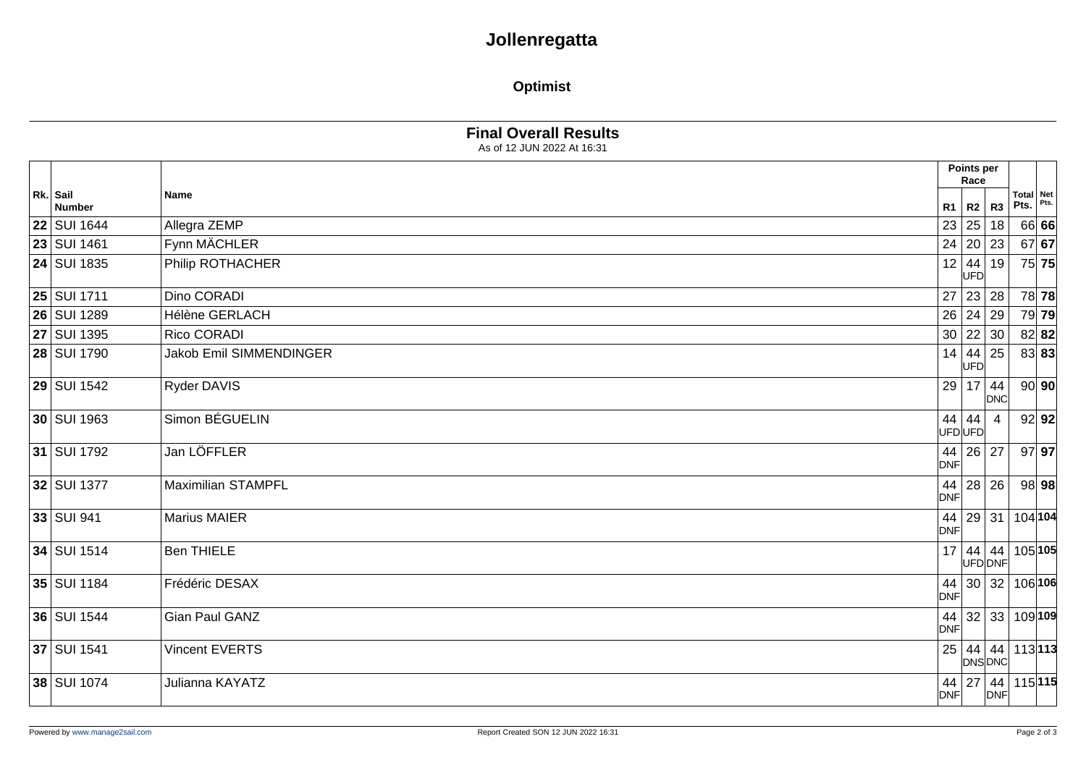# **Jollenregatta**

### **Optimist**

As of 12 JUN 2022 At 16:31

|                           |                           | Points per<br>Race                                              |                                                                      |            |                   |         |
|---------------------------|---------------------------|-----------------------------------------------------------------|----------------------------------------------------------------------|------------|-------------------|---------|
| Rk. Sail<br><b>Number</b> | <b>Name</b>               | R1                                                              | R2 R3                                                                |            | Total Net<br>Pts. | Pts.    |
| <b>22 SUI 1644</b>        | Allegra ZEMP              |                                                                 | 23 25 18                                                             |            |                   | 66 66   |
| <b>23 SUI 1461</b>        | Fynn MÄCHLER              |                                                                 | 24   20   23                                                         |            |                   | $67$ 67 |
| <b>24 SUI 1835</b>        | Philip ROTHACHER          |                                                                 | $\begin{array}{c c} 12 & 44 & 19 \\ \hline \text{UFD} & \end{array}$ |            |                   | 75 75   |
| <b>25 SUI 1711</b>        | Dino CORADI               |                                                                 | 27 23 28                                                             |            | 78 78             |         |
| 26 SUI 1289               | Hélène GERLACH            | 26 24                                                           |                                                                      | 29         |                   | 79 79   |
| <b>27 SUI 1395</b>        | Rico CORADI               |                                                                 | 30   22   30                                                         |            |                   | $82$ 82 |
| <b>28 SUI 1790</b>        | Jakob Emil SIMMENDINGER   | $\begin{array}{c c} 14 & 44 \\ \hline \text{UFD} & \end{array}$ |                                                                      | 25         |                   | 83 83   |
| <b>29 SUI 1542</b>        | Ryder DAVIS               |                                                                 | $29$ 17 44                                                           | <b>DNC</b> |                   | 90 90   |
| 30 SUI 1963               | Simon BÉGUELIN            | 44<br>UFDUFD                                                    | 44                                                                   |            |                   | 92 92   |
| 31 SUI 1792               | Jan LÖFFLER               | <b>DNF</b>                                                      | 44 26 27                                                             |            | $97$ 97           |         |
| 32 SUI 1377               | <b>Maximilian STAMPFL</b> | 44<br><b>DNF</b>                                                | 28 26                                                                |            |                   | 98 98   |
| 33 SUI 941                | <b>Marius MAIER</b>       | <b>DNF</b>                                                      | 44   29   31                                                         |            | 104 104           |         |
| 34 SUI 1514               | <b>Ben THIELE</b>         |                                                                 | 17 44 44<br>UFD DNF                                                  |            | 105 105           |         |
| 35 SUI 1184               | Frédéric DESAX            | <b>DNF</b>                                                      | 44 30 32                                                             |            | 106 106           |         |
| 36 SUI 1544               | Gian Paul GANZ            | <b>DNF</b>                                                      | 44 32 33                                                             |            | 109 109           |         |
| 37 SUI 1541               | Vincent EVERTS            |                                                                 | $25 \mid 44 \mid 44$<br>DNSDNC                                       |            | 113 113           |         |
| 38 SUI 1074               | Julianna KAYATZ           | <b>DNF</b>                                                      | 44 27 44                                                             | DNF        | 115 115           |         |